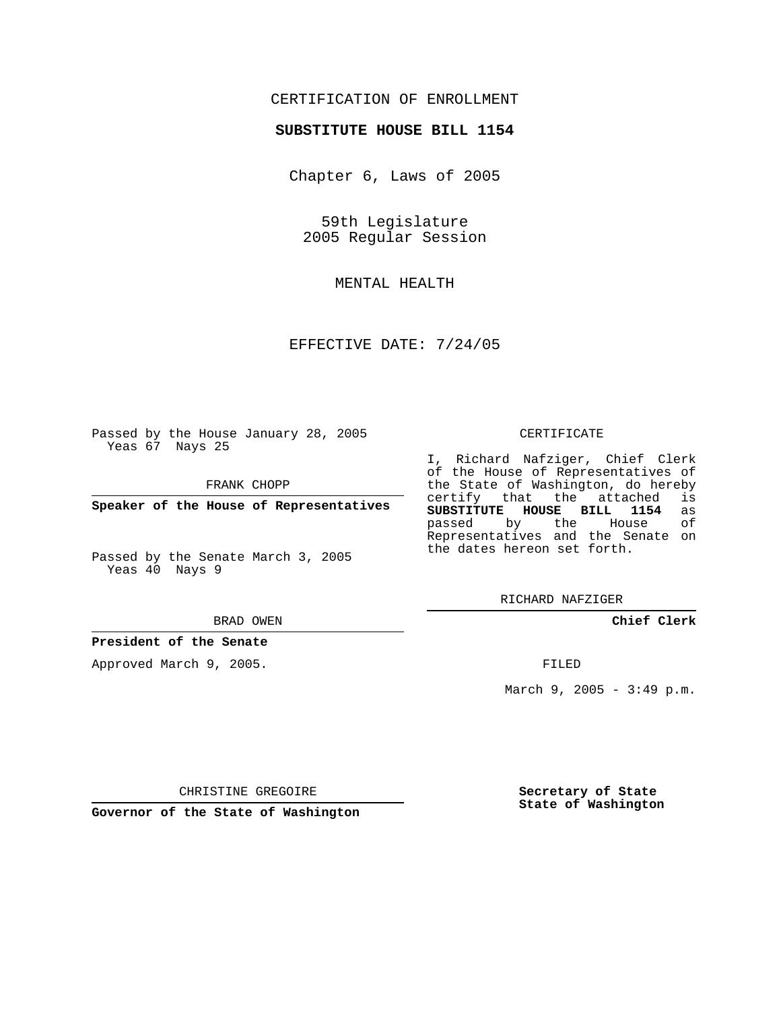## CERTIFICATION OF ENROLLMENT

### **SUBSTITUTE HOUSE BILL 1154**

Chapter 6, Laws of 2005

59th Legislature 2005 Regular Session

MENTAL HEALTH

EFFECTIVE DATE: 7/24/05

Passed by the House January 28, 2005 Yeas 67 Nays 25

FRANK CHOPP

**Speaker of the House of Representatives**

Passed by the Senate March 3, 2005 Yeas 40 Nays 9

#### BRAD OWEN

### **President of the Senate**

Approved March 9, 2005.

#### CERTIFICATE

I, Richard Nafziger, Chief Clerk of the House of Representatives of the State of Washington, do hereby<br>certify that the attached is certify that the attached **SUBSTITUTE HOUSE BILL 1154** as passed by the House Representatives and the Senate on the dates hereon set forth.

RICHARD NAFZIGER

**Chief Clerk**

FILED

March 9, 2005 - 3:49 p.m.

CHRISTINE GREGOIRE

**Governor of the State of Washington**

**Secretary of State State of Washington**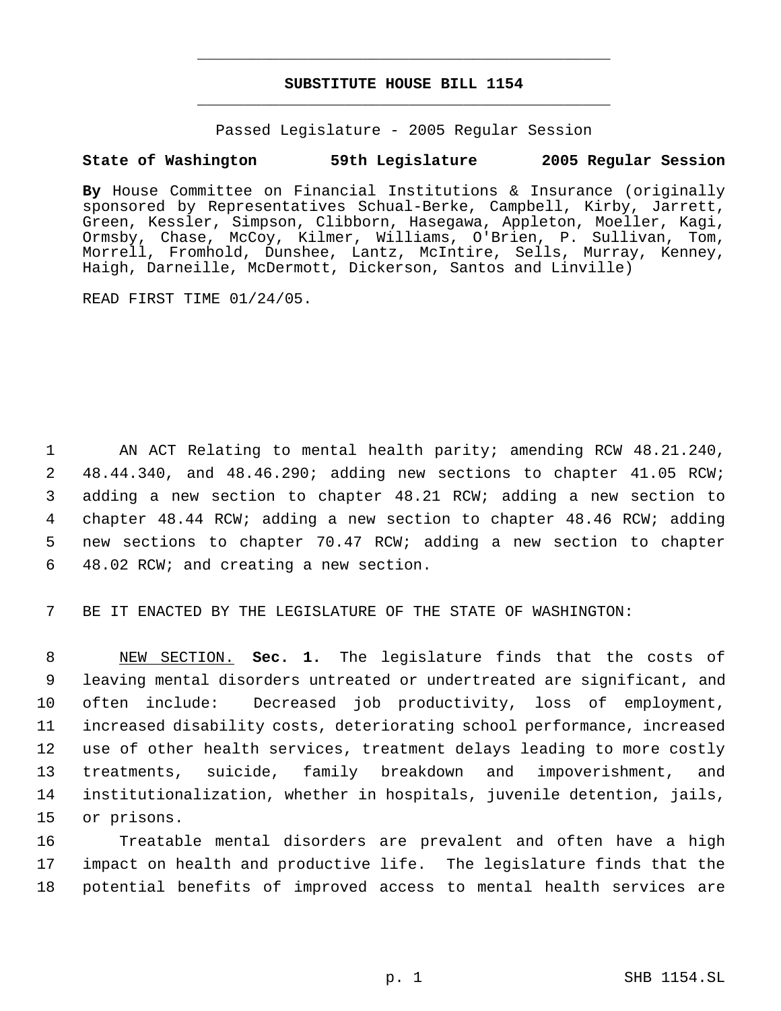# **SUBSTITUTE HOUSE BILL 1154** \_\_\_\_\_\_\_\_\_\_\_\_\_\_\_\_\_\_\_\_\_\_\_\_\_\_\_\_\_\_\_\_\_\_\_\_\_\_\_\_\_\_\_\_\_

\_\_\_\_\_\_\_\_\_\_\_\_\_\_\_\_\_\_\_\_\_\_\_\_\_\_\_\_\_\_\_\_\_\_\_\_\_\_\_\_\_\_\_\_\_

Passed Legislature - 2005 Regular Session

# **State of Washington 59th Legislature 2005 Regular Session**

**By** House Committee on Financial Institutions & Insurance (originally sponsored by Representatives Schual-Berke, Campbell, Kirby, Jarrett, Green, Kessler, Simpson, Clibborn, Hasegawa, Appleton, Moeller, Kagi, Ormsby, Chase, McCoy, Kilmer, Williams, O'Brien, P. Sullivan, Tom, Morrell, Fromhold, Dunshee, Lantz, McIntire, Sells, Murray, Kenney, Haigh, Darneille, McDermott, Dickerson, Santos and Linville)

READ FIRST TIME 01/24/05.

 AN ACT Relating to mental health parity; amending RCW 48.21.240, 48.44.340, and 48.46.290; adding new sections to chapter 41.05 RCW; adding a new section to chapter 48.21 RCW; adding a new section to chapter 48.44 RCW; adding a new section to chapter 48.46 RCW; adding new sections to chapter 70.47 RCW; adding a new section to chapter 48.02 RCW; and creating a new section.

7 BE IT ENACTED BY THE LEGISLATURE OF THE STATE OF WASHINGTON:

 NEW SECTION. **Sec. 1.** The legislature finds that the costs of leaving mental disorders untreated or undertreated are significant, and often include: Decreased job productivity, loss of employment, increased disability costs, deteriorating school performance, increased use of other health services, treatment delays leading to more costly treatments, suicide, family breakdown and impoverishment, and institutionalization, whether in hospitals, juvenile detention, jails, or prisons.

16 Treatable mental disorders are prevalent and often have a high 17 impact on health and productive life. The legislature finds that the 18 potential benefits of improved access to mental health services are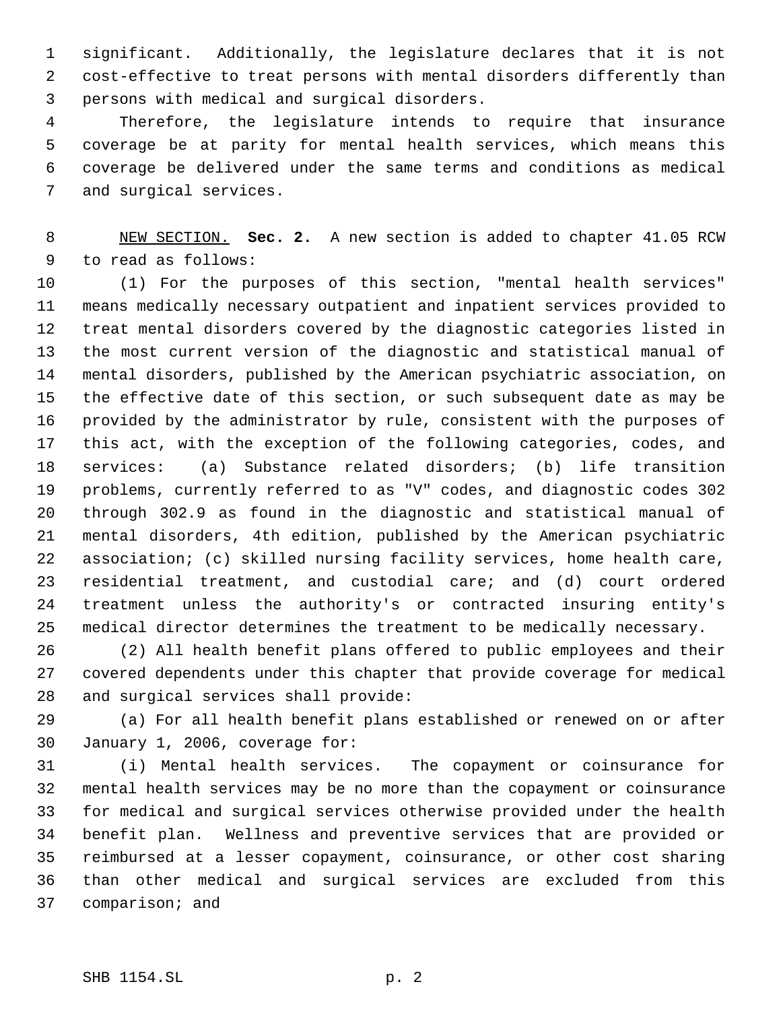significant. Additionally, the legislature declares that it is not cost-effective to treat persons with mental disorders differently than persons with medical and surgical disorders.

 Therefore, the legislature intends to require that insurance coverage be at parity for mental health services, which means this coverage be delivered under the same terms and conditions as medical and surgical services.

 NEW SECTION. **Sec. 2.** A new section is added to chapter 41.05 RCW to read as follows:

 (1) For the purposes of this section, "mental health services" means medically necessary outpatient and inpatient services provided to treat mental disorders covered by the diagnostic categories listed in the most current version of the diagnostic and statistical manual of mental disorders, published by the American psychiatric association, on the effective date of this section, or such subsequent date as may be provided by the administrator by rule, consistent with the purposes of this act, with the exception of the following categories, codes, and services: (a) Substance related disorders; (b) life transition problems, currently referred to as "V" codes, and diagnostic codes 302 through 302.9 as found in the diagnostic and statistical manual of mental disorders, 4th edition, published by the American psychiatric association; (c) skilled nursing facility services, home health care, residential treatment, and custodial care; and (d) court ordered treatment unless the authority's or contracted insuring entity's medical director determines the treatment to be medically necessary.

 (2) All health benefit plans offered to public employees and their covered dependents under this chapter that provide coverage for medical and surgical services shall provide:

 (a) For all health benefit plans established or renewed on or after January 1, 2006, coverage for:

 (i) Mental health services. The copayment or coinsurance for mental health services may be no more than the copayment or coinsurance for medical and surgical services otherwise provided under the health benefit plan. Wellness and preventive services that are provided or reimbursed at a lesser copayment, coinsurance, or other cost sharing than other medical and surgical services are excluded from this comparison; and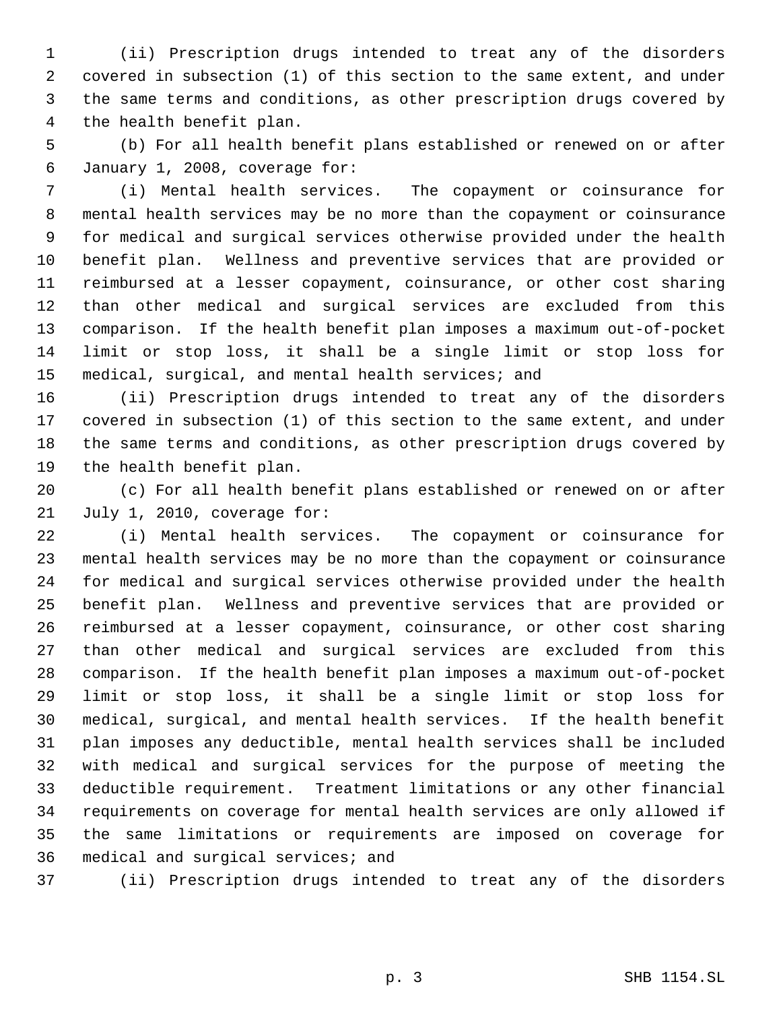(ii) Prescription drugs intended to treat any of the disorders covered in subsection (1) of this section to the same extent, and under the same terms and conditions, as other prescription drugs covered by the health benefit plan.

 (b) For all health benefit plans established or renewed on or after January 1, 2008, coverage for:

 (i) Mental health services. The copayment or coinsurance for mental health services may be no more than the copayment or coinsurance for medical and surgical services otherwise provided under the health benefit plan. Wellness and preventive services that are provided or reimbursed at a lesser copayment, coinsurance, or other cost sharing than other medical and surgical services are excluded from this comparison. If the health benefit plan imposes a maximum out-of-pocket limit or stop loss, it shall be a single limit or stop loss for medical, surgical, and mental health services; and

 (ii) Prescription drugs intended to treat any of the disorders covered in subsection (1) of this section to the same extent, and under the same terms and conditions, as other prescription drugs covered by the health benefit plan.

 (c) For all health benefit plans established or renewed on or after July 1, 2010, coverage for:

 (i) Mental health services. The copayment or coinsurance for mental health services may be no more than the copayment or coinsurance for medical and surgical services otherwise provided under the health benefit plan. Wellness and preventive services that are provided or reimbursed at a lesser copayment, coinsurance, or other cost sharing than other medical and surgical services are excluded from this comparison. If the health benefit plan imposes a maximum out-of-pocket limit or stop loss, it shall be a single limit or stop loss for medical, surgical, and mental health services. If the health benefit plan imposes any deductible, mental health services shall be included with medical and surgical services for the purpose of meeting the deductible requirement. Treatment limitations or any other financial requirements on coverage for mental health services are only allowed if the same limitations or requirements are imposed on coverage for medical and surgical services; and

(ii) Prescription drugs intended to treat any of the disorders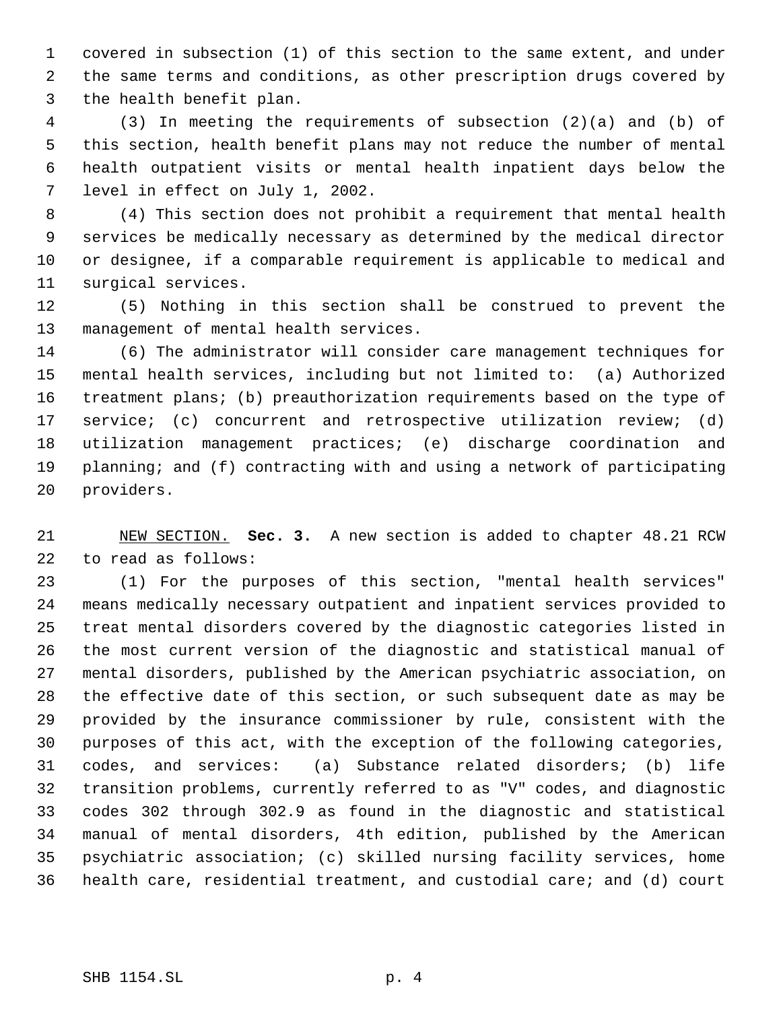covered in subsection (1) of this section to the same extent, and under the same terms and conditions, as other prescription drugs covered by the health benefit plan.

 (3) In meeting the requirements of subsection (2)(a) and (b) of this section, health benefit plans may not reduce the number of mental health outpatient visits or mental health inpatient days below the level in effect on July 1, 2002.

 (4) This section does not prohibit a requirement that mental health services be medically necessary as determined by the medical director or designee, if a comparable requirement is applicable to medical and surgical services.

 (5) Nothing in this section shall be construed to prevent the management of mental health services.

 (6) The administrator will consider care management techniques for mental health services, including but not limited to: (a) Authorized treatment plans; (b) preauthorization requirements based on the type of service; (c) concurrent and retrospective utilization review; (d) utilization management practices; (e) discharge coordination and planning; and (f) contracting with and using a network of participating providers.

 NEW SECTION. **Sec. 3.** A new section is added to chapter 48.21 RCW to read as follows:

 (1) For the purposes of this section, "mental health services" means medically necessary outpatient and inpatient services provided to treat mental disorders covered by the diagnostic categories listed in the most current version of the diagnostic and statistical manual of mental disorders, published by the American psychiatric association, on the effective date of this section, or such subsequent date as may be provided by the insurance commissioner by rule, consistent with the purposes of this act, with the exception of the following categories, codes, and services: (a) Substance related disorders; (b) life transition problems, currently referred to as "V" codes, and diagnostic codes 302 through 302.9 as found in the diagnostic and statistical manual of mental disorders, 4th edition, published by the American psychiatric association; (c) skilled nursing facility services, home health care, residential treatment, and custodial care; and (d) court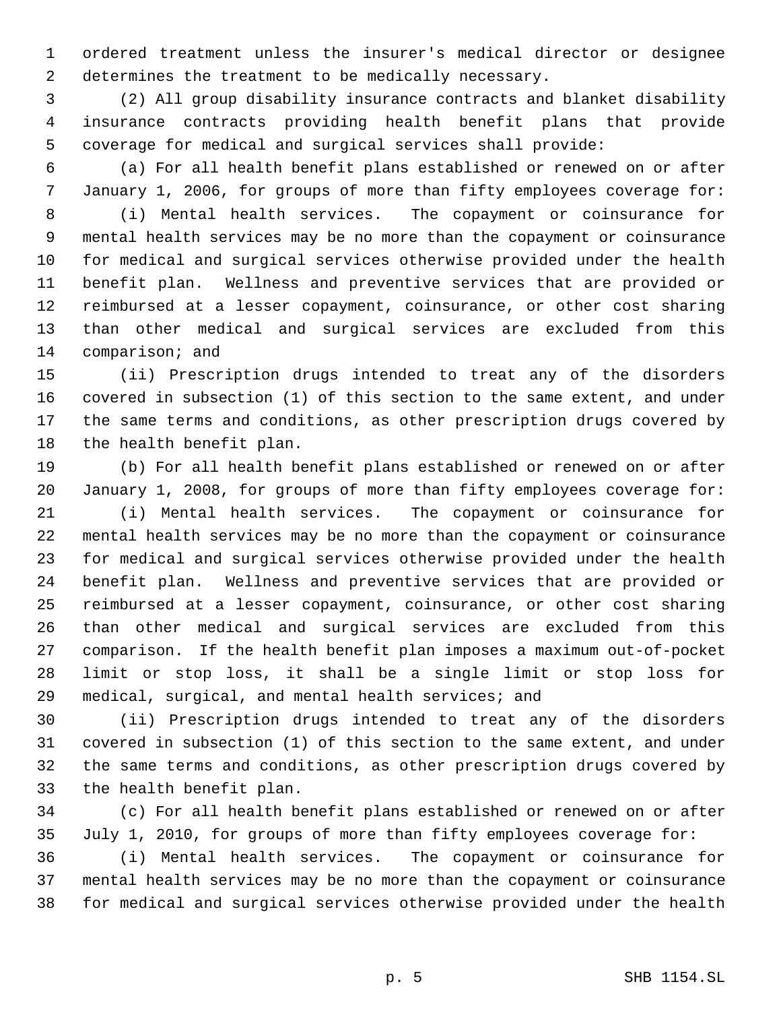ordered treatment unless the insurer's medical director or designee determines the treatment to be medically necessary.

 (2) All group disability insurance contracts and blanket disability insurance contracts providing health benefit plans that provide coverage for medical and surgical services shall provide:

 (a) For all health benefit plans established or renewed on or after January 1, 2006, for groups of more than fifty employees coverage for: (i) Mental health services. The copayment or coinsurance for

 mental health services may be no more than the copayment or coinsurance for medical and surgical services otherwise provided under the health benefit plan. Wellness and preventive services that are provided or reimbursed at a lesser copayment, coinsurance, or other cost sharing than other medical and surgical services are excluded from this comparison; and

 (ii) Prescription drugs intended to treat any of the disorders covered in subsection (1) of this section to the same extent, and under the same terms and conditions, as other prescription drugs covered by the health benefit plan.

 (b) For all health benefit plans established or renewed on or after January 1, 2008, for groups of more than fifty employees coverage for: (i) Mental health services. The copayment or coinsurance for mental health services may be no more than the copayment or coinsurance for medical and surgical services otherwise provided under the health benefit plan. Wellness and preventive services that are provided or reimbursed at a lesser copayment, coinsurance, or other cost sharing than other medical and surgical services are excluded from this comparison. If the health benefit plan imposes a maximum out-of-pocket limit or stop loss, it shall be a single limit or stop loss for medical, surgical, and mental health services; and

 (ii) Prescription drugs intended to treat any of the disorders covered in subsection (1) of this section to the same extent, and under the same terms and conditions, as other prescription drugs covered by the health benefit plan.

 (c) For all health benefit plans established or renewed on or after July 1, 2010, for groups of more than fifty employees coverage for:

 (i) Mental health services. The copayment or coinsurance for mental health services may be no more than the copayment or coinsurance for medical and surgical services otherwise provided under the health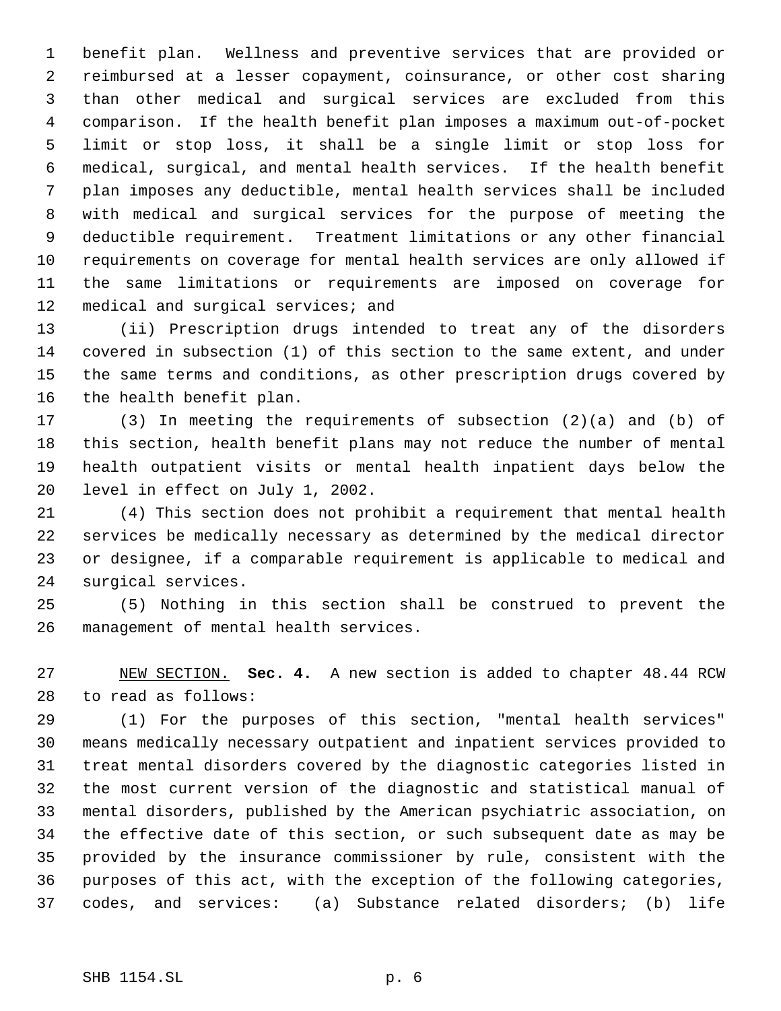benefit plan. Wellness and preventive services that are provided or reimbursed at a lesser copayment, coinsurance, or other cost sharing than other medical and surgical services are excluded from this comparison. If the health benefit plan imposes a maximum out-of-pocket limit or stop loss, it shall be a single limit or stop loss for medical, surgical, and mental health services. If the health benefit plan imposes any deductible, mental health services shall be included with medical and surgical services for the purpose of meeting the deductible requirement. Treatment limitations or any other financial requirements on coverage for mental health services are only allowed if the same limitations or requirements are imposed on coverage for 12 medical and surgical services; and

 (ii) Prescription drugs intended to treat any of the disorders covered in subsection (1) of this section to the same extent, and under the same terms and conditions, as other prescription drugs covered by the health benefit plan.

 (3) In meeting the requirements of subsection (2)(a) and (b) of this section, health benefit plans may not reduce the number of mental health outpatient visits or mental health inpatient days below the level in effect on July 1, 2002.

 (4) This section does not prohibit a requirement that mental health services be medically necessary as determined by the medical director or designee, if a comparable requirement is applicable to medical and surgical services.

 (5) Nothing in this section shall be construed to prevent the management of mental health services.

 NEW SECTION. **Sec. 4.** A new section is added to chapter 48.44 RCW to read as follows:

 (1) For the purposes of this section, "mental health services" means medically necessary outpatient and inpatient services provided to treat mental disorders covered by the diagnostic categories listed in the most current version of the diagnostic and statistical manual of mental disorders, published by the American psychiatric association, on the effective date of this section, or such subsequent date as may be provided by the insurance commissioner by rule, consistent with the purposes of this act, with the exception of the following categories, codes, and services: (a) Substance related disorders; (b) life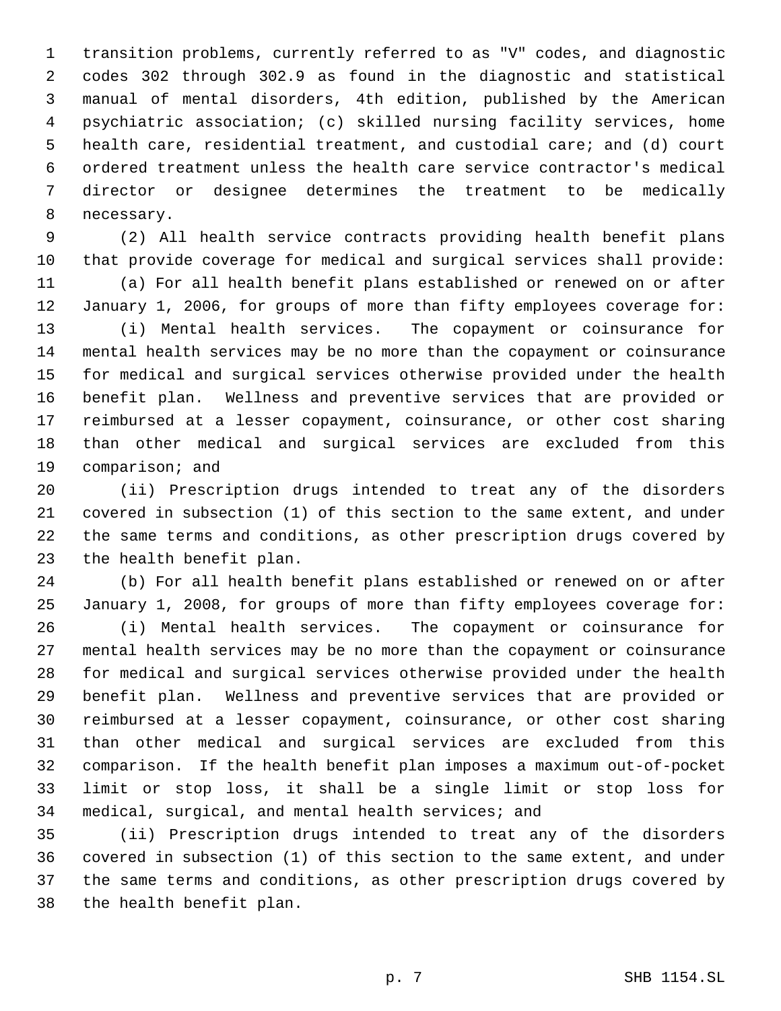transition problems, currently referred to as "V" codes, and diagnostic codes 302 through 302.9 as found in the diagnostic and statistical manual of mental disorders, 4th edition, published by the American psychiatric association; (c) skilled nursing facility services, home health care, residential treatment, and custodial care; and (d) court ordered treatment unless the health care service contractor's medical director or designee determines the treatment to be medically necessary.

 (2) All health service contracts providing health benefit plans that provide coverage for medical and surgical services shall provide:

 (a) For all health benefit plans established or renewed on or after January 1, 2006, for groups of more than fifty employees coverage for:

 (i) Mental health services. The copayment or coinsurance for mental health services may be no more than the copayment or coinsurance for medical and surgical services otherwise provided under the health benefit plan. Wellness and preventive services that are provided or reimbursed at a lesser copayment, coinsurance, or other cost sharing than other medical and surgical services are excluded from this comparison; and

 (ii) Prescription drugs intended to treat any of the disorders covered in subsection (1) of this section to the same extent, and under the same terms and conditions, as other prescription drugs covered by the health benefit plan.

 (b) For all health benefit plans established or renewed on or after January 1, 2008, for groups of more than fifty employees coverage for:

 (i) Mental health services. The copayment or coinsurance for mental health services may be no more than the copayment or coinsurance for medical and surgical services otherwise provided under the health benefit plan. Wellness and preventive services that are provided or reimbursed at a lesser copayment, coinsurance, or other cost sharing than other medical and surgical services are excluded from this comparison. If the health benefit plan imposes a maximum out-of-pocket limit or stop loss, it shall be a single limit or stop loss for medical, surgical, and mental health services; and

 (ii) Prescription drugs intended to treat any of the disorders covered in subsection (1) of this section to the same extent, and under the same terms and conditions, as other prescription drugs covered by the health benefit plan.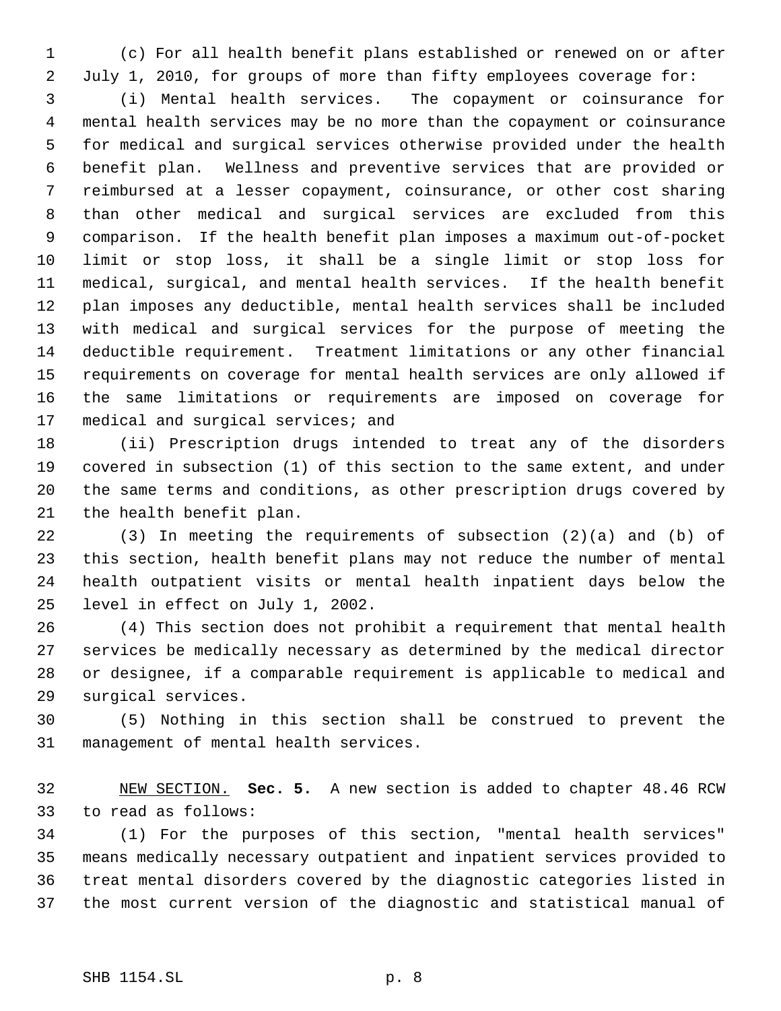(c) For all health benefit plans established or renewed on or after July 1, 2010, for groups of more than fifty employees coverage for:

 (i) Mental health services. The copayment or coinsurance for mental health services may be no more than the copayment or coinsurance for medical and surgical services otherwise provided under the health benefit plan. Wellness and preventive services that are provided or reimbursed at a lesser copayment, coinsurance, or other cost sharing than other medical and surgical services are excluded from this comparison. If the health benefit plan imposes a maximum out-of-pocket limit or stop loss, it shall be a single limit or stop loss for medical, surgical, and mental health services. If the health benefit plan imposes any deductible, mental health services shall be included with medical and surgical services for the purpose of meeting the deductible requirement. Treatment limitations or any other financial requirements on coverage for mental health services are only allowed if the same limitations or requirements are imposed on coverage for medical and surgical services; and

 (ii) Prescription drugs intended to treat any of the disorders covered in subsection (1) of this section to the same extent, and under the same terms and conditions, as other prescription drugs covered by the health benefit plan.

 (3) In meeting the requirements of subsection (2)(a) and (b) of this section, health benefit plans may not reduce the number of mental health outpatient visits or mental health inpatient days below the level in effect on July 1, 2002.

 (4) This section does not prohibit a requirement that mental health services be medically necessary as determined by the medical director or designee, if a comparable requirement is applicable to medical and surgical services.

 (5) Nothing in this section shall be construed to prevent the management of mental health services.

 NEW SECTION. **Sec. 5.** A new section is added to chapter 48.46 RCW to read as follows:

 (1) For the purposes of this section, "mental health services" means medically necessary outpatient and inpatient services provided to treat mental disorders covered by the diagnostic categories listed in the most current version of the diagnostic and statistical manual of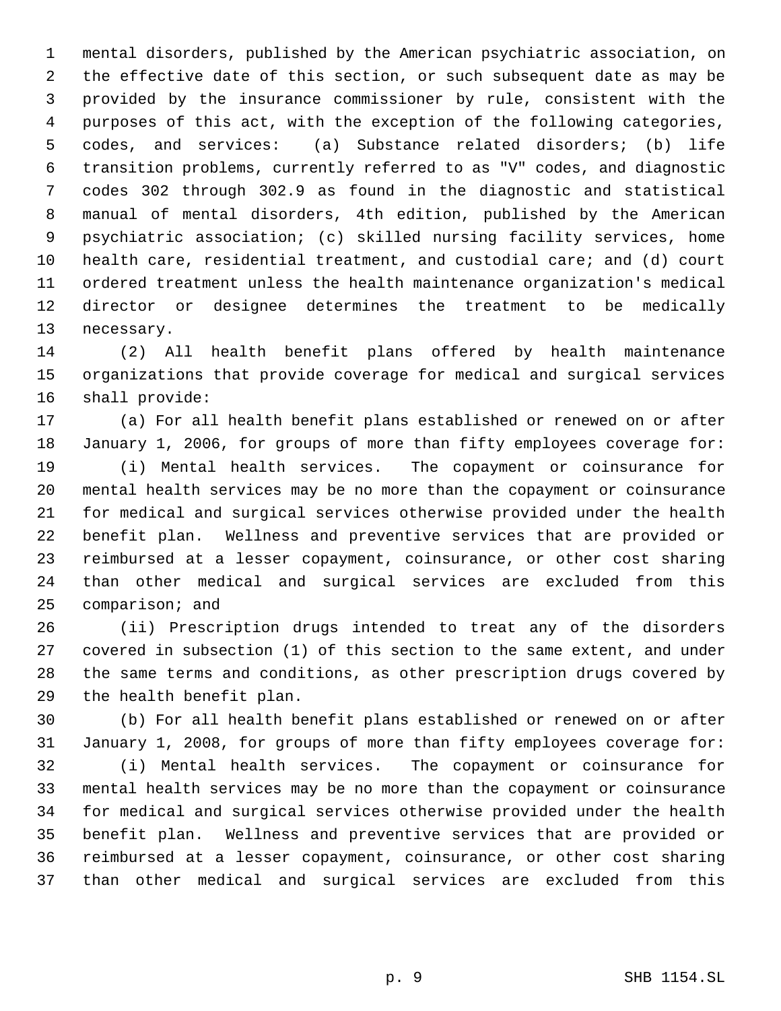mental disorders, published by the American psychiatric association, on the effective date of this section, or such subsequent date as may be provided by the insurance commissioner by rule, consistent with the purposes of this act, with the exception of the following categories, codes, and services: (a) Substance related disorders; (b) life transition problems, currently referred to as "V" codes, and diagnostic codes 302 through 302.9 as found in the diagnostic and statistical manual of mental disorders, 4th edition, published by the American psychiatric association; (c) skilled nursing facility services, home health care, residential treatment, and custodial care; and (d) court ordered treatment unless the health maintenance organization's medical director or designee determines the treatment to be medically necessary.

 (2) All health benefit plans offered by health maintenance organizations that provide coverage for medical and surgical services shall provide:

 (a) For all health benefit plans established or renewed on or after January 1, 2006, for groups of more than fifty employees coverage for: (i) Mental health services. The copayment or coinsurance for

 mental health services may be no more than the copayment or coinsurance for medical and surgical services otherwise provided under the health benefit plan. Wellness and preventive services that are provided or reimbursed at a lesser copayment, coinsurance, or other cost sharing than other medical and surgical services are excluded from this comparison; and

 (ii) Prescription drugs intended to treat any of the disorders covered in subsection (1) of this section to the same extent, and under the same terms and conditions, as other prescription drugs covered by the health benefit plan.

 (b) For all health benefit plans established or renewed on or after January 1, 2008, for groups of more than fifty employees coverage for: (i) Mental health services. The copayment or coinsurance for mental health services may be no more than the copayment or coinsurance for medical and surgical services otherwise provided under the health benefit plan. Wellness and preventive services that are provided or reimbursed at a lesser copayment, coinsurance, or other cost sharing than other medical and surgical services are excluded from this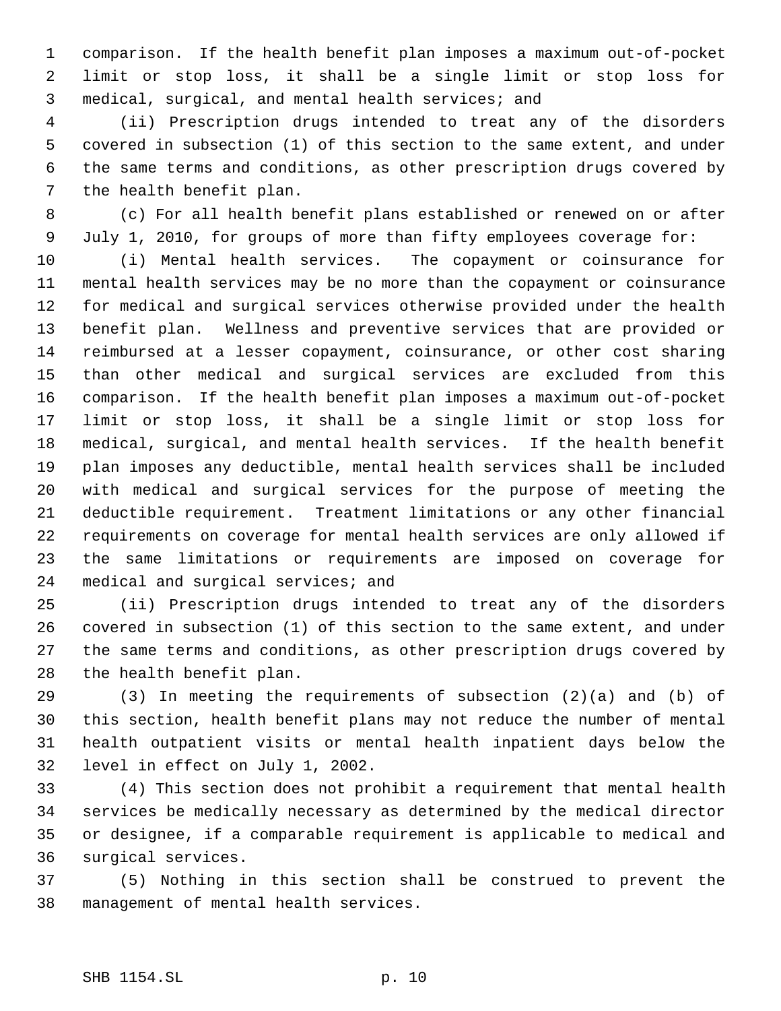comparison. If the health benefit plan imposes a maximum out-of-pocket limit or stop loss, it shall be a single limit or stop loss for medical, surgical, and mental health services; and

 (ii) Prescription drugs intended to treat any of the disorders covered in subsection (1) of this section to the same extent, and under the same terms and conditions, as other prescription drugs covered by the health benefit plan.

 (c) For all health benefit plans established or renewed on or after July 1, 2010, for groups of more than fifty employees coverage for:

 (i) Mental health services. The copayment or coinsurance for mental health services may be no more than the copayment or coinsurance for medical and surgical services otherwise provided under the health benefit plan. Wellness and preventive services that are provided or reimbursed at a lesser copayment, coinsurance, or other cost sharing than other medical and surgical services are excluded from this comparison. If the health benefit plan imposes a maximum out-of-pocket limit or stop loss, it shall be a single limit or stop loss for medical, surgical, and mental health services. If the health benefit plan imposes any deductible, mental health services shall be included with medical and surgical services for the purpose of meeting the deductible requirement. Treatment limitations or any other financial requirements on coverage for mental health services are only allowed if the same limitations or requirements are imposed on coverage for 24 medical and surgical services; and

 (ii) Prescription drugs intended to treat any of the disorders covered in subsection (1) of this section to the same extent, and under the same terms and conditions, as other prescription drugs covered by the health benefit plan.

 (3) In meeting the requirements of subsection (2)(a) and (b) of this section, health benefit plans may not reduce the number of mental health outpatient visits or mental health inpatient days below the level in effect on July 1, 2002.

 (4) This section does not prohibit a requirement that mental health services be medically necessary as determined by the medical director or designee, if a comparable requirement is applicable to medical and surgical services.

 (5) Nothing in this section shall be construed to prevent the management of mental health services.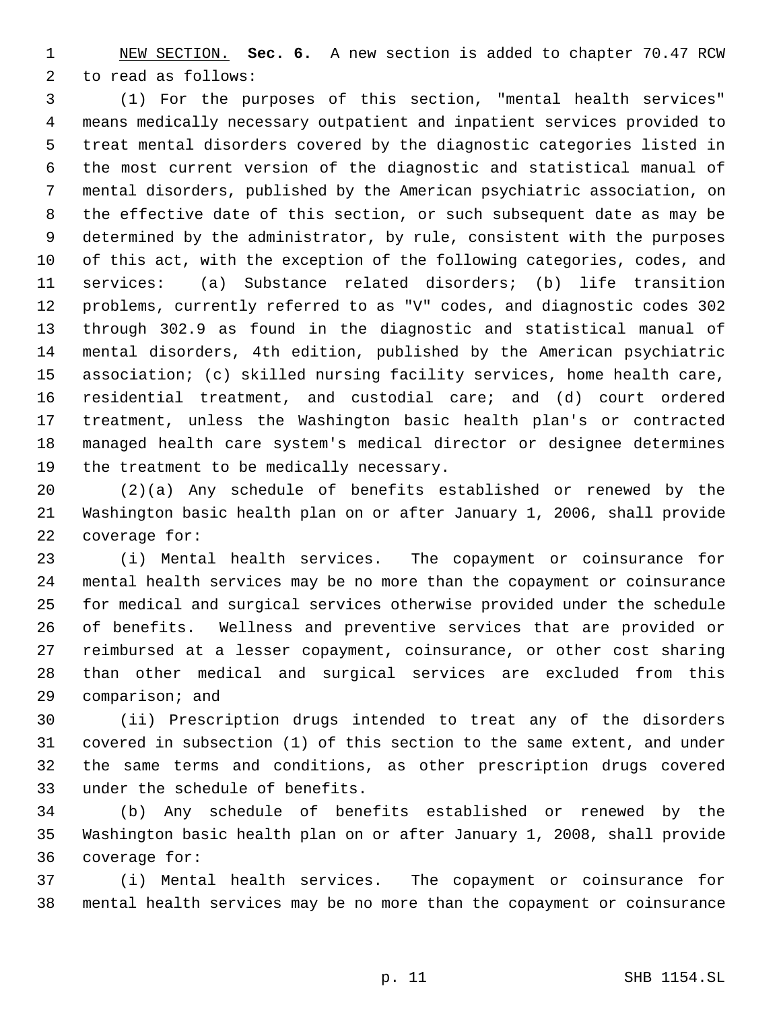NEW SECTION. **Sec. 6.** A new section is added to chapter 70.47 RCW to read as follows:

 (1) For the purposes of this section, "mental health services" means medically necessary outpatient and inpatient services provided to treat mental disorders covered by the diagnostic categories listed in the most current version of the diagnostic and statistical manual of mental disorders, published by the American psychiatric association, on the effective date of this section, or such subsequent date as may be determined by the administrator, by rule, consistent with the purposes of this act, with the exception of the following categories, codes, and services: (a) Substance related disorders; (b) life transition problems, currently referred to as "V" codes, and diagnostic codes 302 through 302.9 as found in the diagnostic and statistical manual of mental disorders, 4th edition, published by the American psychiatric association; (c) skilled nursing facility services, home health care, residential treatment, and custodial care; and (d) court ordered treatment, unless the Washington basic health plan's or contracted managed health care system's medical director or designee determines 19 the treatment to be medically necessary.

 (2)(a) Any schedule of benefits established or renewed by the Washington basic health plan on or after January 1, 2006, shall provide coverage for:

 (i) Mental health services. The copayment or coinsurance for mental health services may be no more than the copayment or coinsurance for medical and surgical services otherwise provided under the schedule of benefits. Wellness and preventive services that are provided or reimbursed at a lesser copayment, coinsurance, or other cost sharing than other medical and surgical services are excluded from this comparison; and

 (ii) Prescription drugs intended to treat any of the disorders covered in subsection (1) of this section to the same extent, and under the same terms and conditions, as other prescription drugs covered under the schedule of benefits.

 (b) Any schedule of benefits established or renewed by the Washington basic health plan on or after January 1, 2008, shall provide coverage for:

 (i) Mental health services. The copayment or coinsurance for mental health services may be no more than the copayment or coinsurance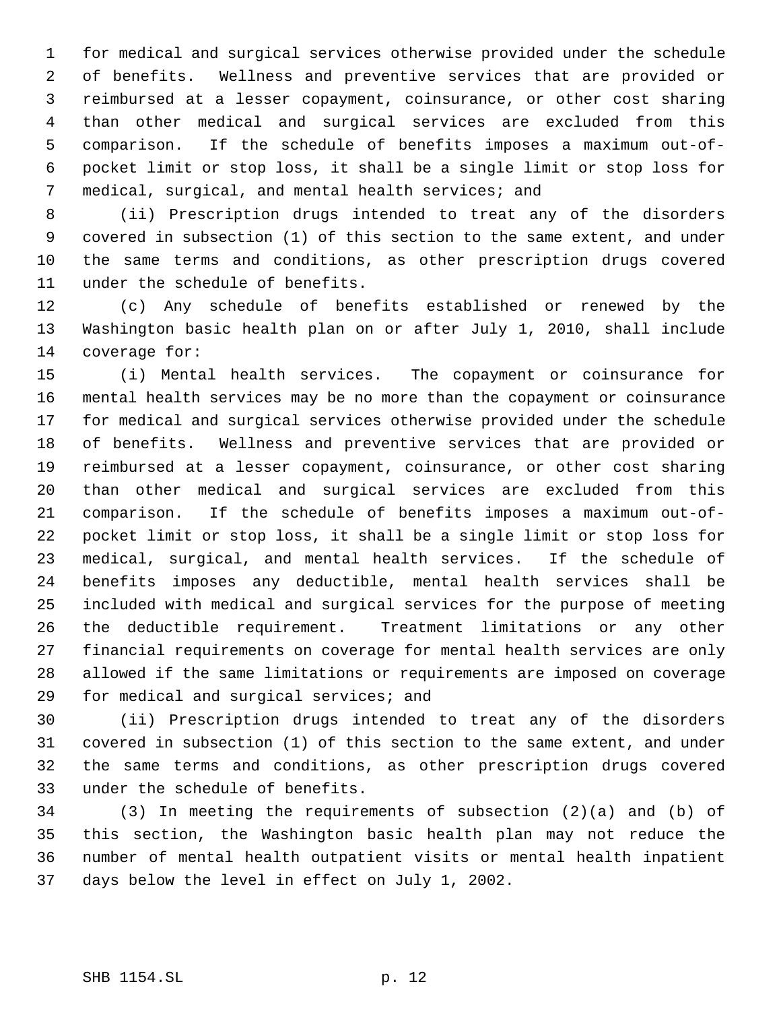for medical and surgical services otherwise provided under the schedule of benefits. Wellness and preventive services that are provided or reimbursed at a lesser copayment, coinsurance, or other cost sharing than other medical and surgical services are excluded from this comparison. If the schedule of benefits imposes a maximum out-of- pocket limit or stop loss, it shall be a single limit or stop loss for medical, surgical, and mental health services; and

 (ii) Prescription drugs intended to treat any of the disorders covered in subsection (1) of this section to the same extent, and under the same terms and conditions, as other prescription drugs covered under the schedule of benefits.

 (c) Any schedule of benefits established or renewed by the Washington basic health plan on or after July 1, 2010, shall include coverage for:

 (i) Mental health services. The copayment or coinsurance for mental health services may be no more than the copayment or coinsurance for medical and surgical services otherwise provided under the schedule of benefits. Wellness and preventive services that are provided or reimbursed at a lesser copayment, coinsurance, or other cost sharing than other medical and surgical services are excluded from this comparison. If the schedule of benefits imposes a maximum out-of- pocket limit or stop loss, it shall be a single limit or stop loss for medical, surgical, and mental health services. If the schedule of benefits imposes any deductible, mental health services shall be included with medical and surgical services for the purpose of meeting the deductible requirement. Treatment limitations or any other financial requirements on coverage for mental health services are only allowed if the same limitations or requirements are imposed on coverage for medical and surgical services; and

 (ii) Prescription drugs intended to treat any of the disorders covered in subsection (1) of this section to the same extent, and under the same terms and conditions, as other prescription drugs covered under the schedule of benefits.

 (3) In meeting the requirements of subsection (2)(a) and (b) of this section, the Washington basic health plan may not reduce the number of mental health outpatient visits or mental health inpatient days below the level in effect on July 1, 2002.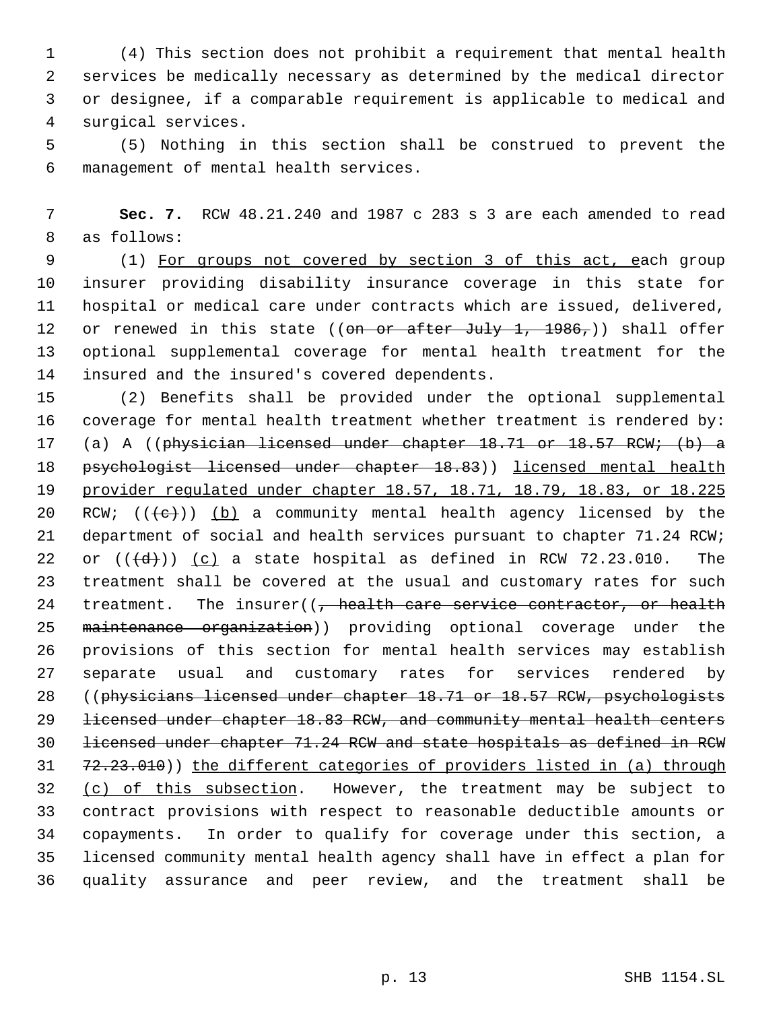(4) This section does not prohibit a requirement that mental health services be medically necessary as determined by the medical director or designee, if a comparable requirement is applicable to medical and surgical services.

 (5) Nothing in this section shall be construed to prevent the management of mental health services.

 **Sec. 7.** RCW 48.21.240 and 1987 c 283 s 3 are each amended to read as follows:

 (1) For groups not covered by section 3 of this act, each group insurer providing disability insurance coverage in this state for hospital or medical care under contracts which are issued, delivered, 12 or renewed in this state ((on or after July 1, 1986,)) shall offer optional supplemental coverage for mental health treatment for the insured and the insured's covered dependents.

 (2) Benefits shall be provided under the optional supplemental coverage for mental health treatment whether treatment is rendered by: (a) A ((physician licensed under chapter 18.71 or 18.57 RCW; (b) a 18 psychologist licensed under chapter 18.83)) licensed mental health provider regulated under chapter 18.57, 18.71, 18.79, 18.83, or 18.225 20 RCW;  $((e+))$  (b) a community mental health agency licensed by the department of social and health services pursuant to chapter 71.24 RCW; 22 or  $((\{d\})$   $(c)$  a state hospital as defined in RCW 72.23.010. The treatment shall be covered at the usual and customary rates for such 24 treatment. The insurer( $\left( \frac{1}{f} \right)$  health care service contractor, or health 25 maintenance organization)) providing optional coverage under the provisions of this section for mental health services may establish separate usual and customary rates for services rendered by ((physicians licensed under chapter 18.71 or 18.57 RCW, psychologists licensed under chapter 18.83 RCW, and community mental health centers licensed under chapter 71.24 RCW and state hospitals as defined in RCW 72.23.010)) the different categories of providers listed in (a) through 32 (c) of this subsection. However, the treatment may be subject to contract provisions with respect to reasonable deductible amounts or copayments. In order to qualify for coverage under this section, a licensed community mental health agency shall have in effect a plan for quality assurance and peer review, and the treatment shall be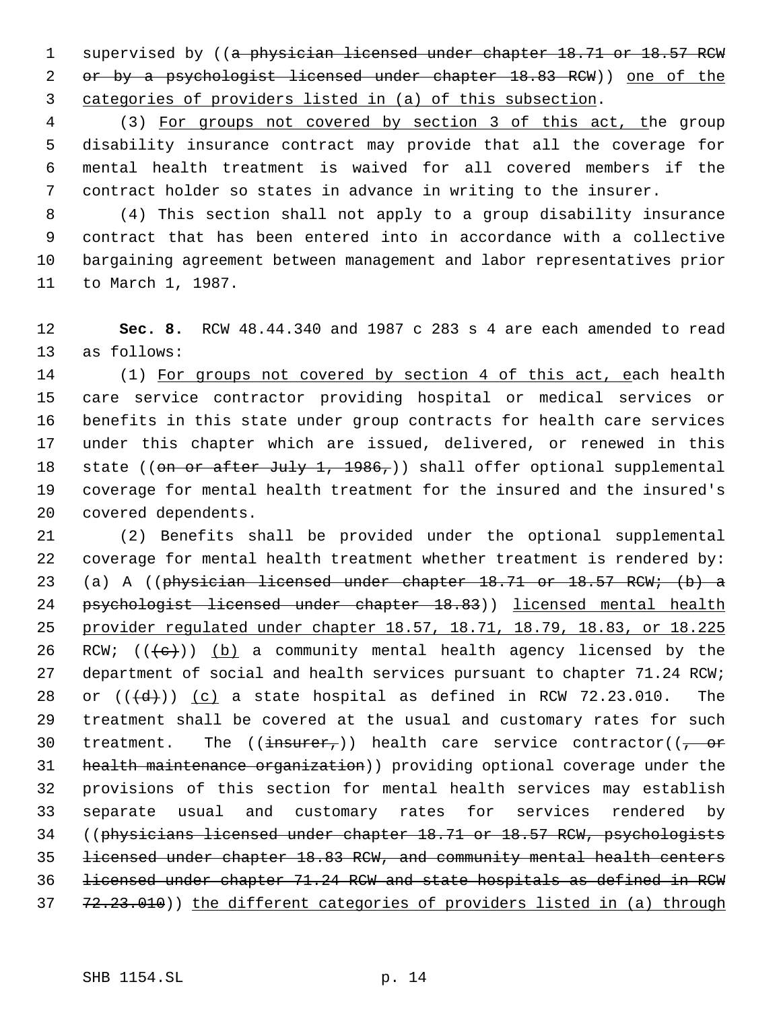1 supervised by ((a physician licensed under chapter 18.71 or 18.57 RCW 2 or by a psychologist licensed under chapter 18.83 RCW)) one of the categories of providers listed in (a) of this subsection.

 (3) For groups not covered by section 3 of this act, the group disability insurance contract may provide that all the coverage for mental health treatment is waived for all covered members if the contract holder so states in advance in writing to the insurer.

 (4) This section shall not apply to a group disability insurance contract that has been entered into in accordance with a collective bargaining agreement between management and labor representatives prior to March 1, 1987.

 **Sec. 8.** RCW 48.44.340 and 1987 c 283 s 4 are each amended to read as follows:

14 (1) For groups not covered by section 4 of this act, each health care service contractor providing hospital or medical services or benefits in this state under group contracts for health care services under this chapter which are issued, delivered, or renewed in this 18 state ((on or after July 1, 1986,)) shall offer optional supplemental coverage for mental health treatment for the insured and the insured's covered dependents.

 (2) Benefits shall be provided under the optional supplemental coverage for mental health treatment whether treatment is rendered by: (a) A ((physician licensed under chapter 18.71 or 18.57 RCW; (b) a 24 psychologist licensed under chapter 18.83)) licensed mental health provider regulated under chapter 18.57, 18.71, 18.79, 18.83, or 18.225 26 RCW;  $((e+))$  (b) a community mental health agency licensed by the 27 department of social and health services pursuant to chapter 71.24 RCW; 28 or  $((\{d\})$   $(c)$  a state hospital as defined in RCW 72.23.010. The treatment shall be covered at the usual and customary rates for such 30 treatment. The  $((\frac{1}{1} + \frac{1}{1})$  health care service contractor( $(\frac{1}{1} + \frac{1}{1})$  health maintenance organization)) providing optional coverage under the provisions of this section for mental health services may establish separate usual and customary rates for services rendered by ((physicians licensed under chapter 18.71 or 18.57 RCW, psychologists licensed under chapter 18.83 RCW, and community mental health centers licensed under chapter 71.24 RCW and state hospitals as defined in RCW 37 72.23.010)) the different categories of providers listed in (a) through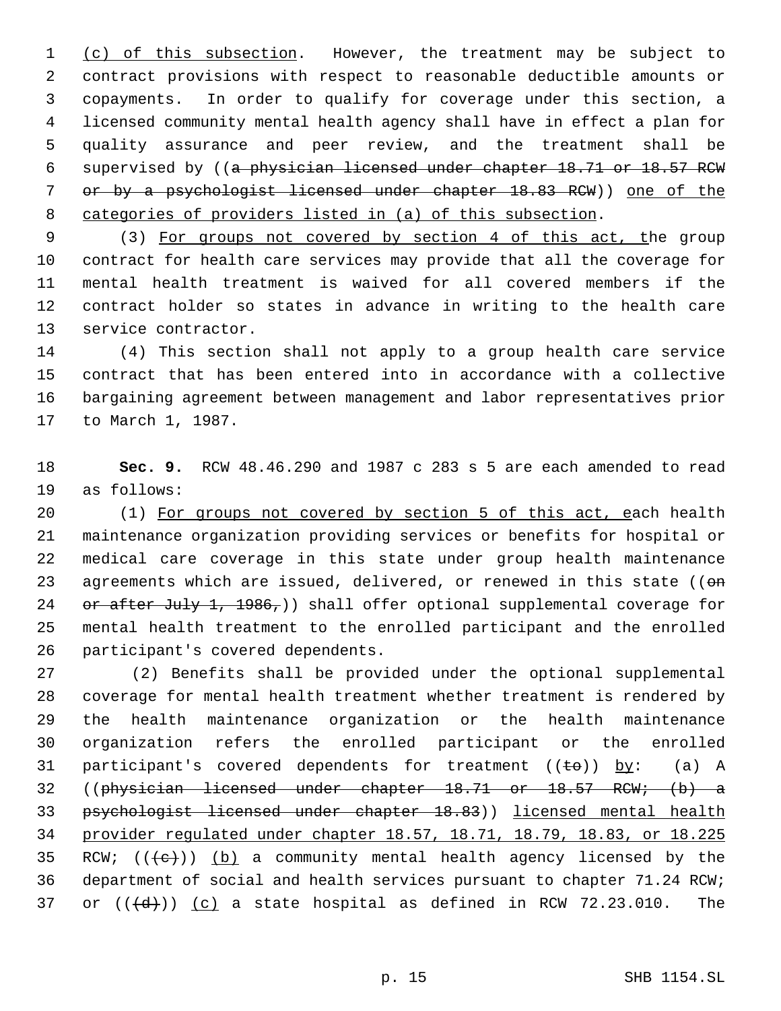1 (c) of this subsection. However, the treatment may be subject to contract provisions with respect to reasonable deductible amounts or copayments. In order to qualify for coverage under this section, a licensed community mental health agency shall have in effect a plan for quality assurance and peer review, and the treatment shall be supervised by ((a physician licensed under chapter 18.71 or 18.57 RCW 7 or by a psychologist licensed under chapter 18.83 RCW)) one of the categories of providers listed in (a) of this subsection.

9 (3) For groups not covered by section 4 of this act, the group contract for health care services may provide that all the coverage for mental health treatment is waived for all covered members if the contract holder so states in advance in writing to the health care service contractor.

 (4) This section shall not apply to a group health care service contract that has been entered into in accordance with a collective bargaining agreement between management and labor representatives prior to March 1, 1987.

 **Sec. 9.** RCW 48.46.290 and 1987 c 283 s 5 are each amended to read as follows:

 (1) For groups not covered by section 5 of this act, each health maintenance organization providing services or benefits for hospital or medical care coverage in this state under group health maintenance 23 agreements which are issued, delivered, or renewed in this state ((on 24 or after July 1, 1986,)) shall offer optional supplemental coverage for mental health treatment to the enrolled participant and the enrolled participant's covered dependents.

 (2) Benefits shall be provided under the optional supplemental coverage for mental health treatment whether treatment is rendered by the health maintenance organization or the health maintenance organization refers the enrolled participant or the enrolled 31 participant's covered dependents for treatment  $((\pm \Theta))$  by: (a) A ((physician licensed under chapter 18.71 or 18.57 RCW; (b) a psychologist licensed under chapter 18.83)) licensed mental health provider regulated under chapter 18.57, 18.71, 18.79, 18.83, or 18.225 35 RCW;  $((e+))$  (b) a community mental health agency licensed by the department of social and health services pursuant to chapter 71.24 RCW; 37 or  $((\{d\})$   $(c)$  a state hospital as defined in RCW 72.23.010. The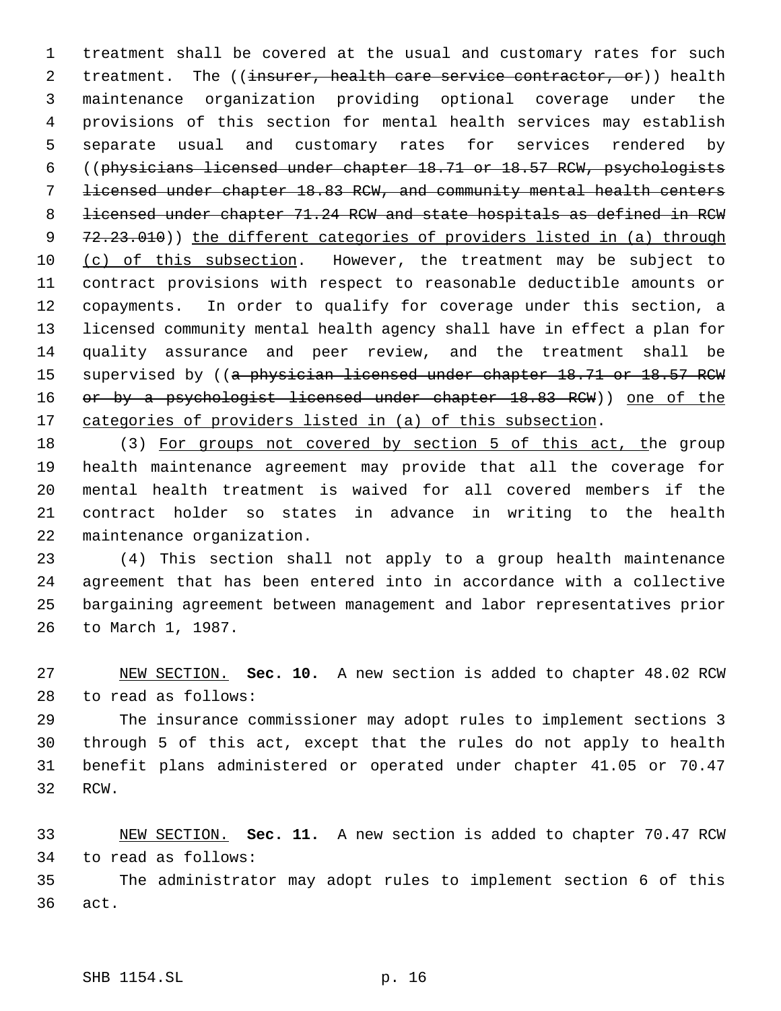treatment shall be covered at the usual and customary rates for such 2 treatment. The ((insurer, health care service contractor, or)) health maintenance organization providing optional coverage under the provisions of this section for mental health services may establish separate usual and customary rates for services rendered by ((physicians licensed under chapter 18.71 or 18.57 RCW, psychologists licensed under chapter 18.83 RCW, and community mental health centers 8 licensed under chapter 71.24 RCW and state hospitals as defined in RCW 9 72.23.010)) the different categories of providers listed in (a) through 10 (c) of this subsection. However, the treatment may be subject to contract provisions with respect to reasonable deductible amounts or copayments. In order to qualify for coverage under this section, a licensed community mental health agency shall have in effect a plan for quality assurance and peer review, and the treatment shall be 15 supervised by ((a physician licensed under chapter 18.71 or 18.57 RCW 16 or by a psychologist licensed under chapter 18.83 RCW)) one of the 17 categories of providers listed in (a) of this subsection.

18 (3) For groups not covered by section 5 of this act, the group health maintenance agreement may provide that all the coverage for mental health treatment is waived for all covered members if the contract holder so states in advance in writing to the health maintenance organization.

 (4) This section shall not apply to a group health maintenance agreement that has been entered into in accordance with a collective bargaining agreement between management and labor representatives prior to March 1, 1987.

 NEW SECTION. **Sec. 10.** A new section is added to chapter 48.02 RCW to read as follows:

 The insurance commissioner may adopt rules to implement sections 3 through 5 of this act, except that the rules do not apply to health benefit plans administered or operated under chapter 41.05 or 70.47 RCW.

 NEW SECTION. **Sec. 11.** A new section is added to chapter 70.47 RCW to read as follows:

 The administrator may adopt rules to implement section 6 of this act.